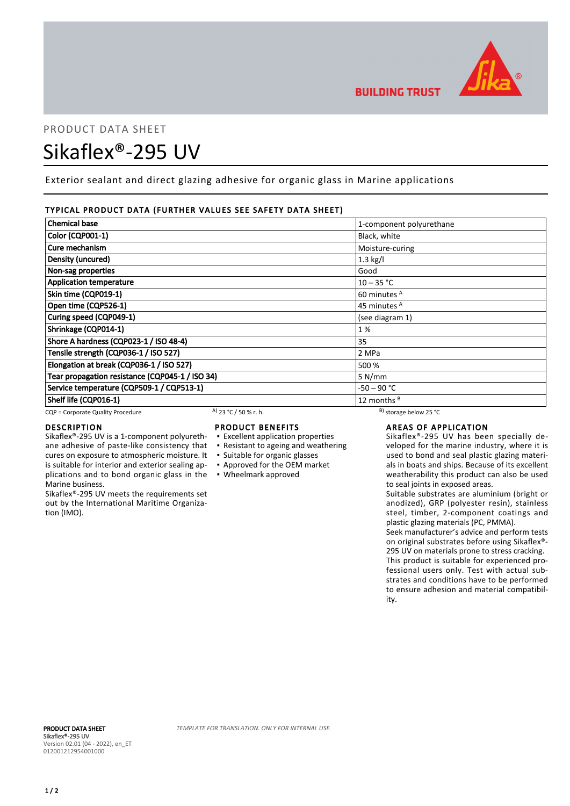

# PRODUCT DATA SHEET Sikaflex®-295 UV

Exterior sealant and direct glazing adhesive for organic glass in Marine applications

#### TYPICAL PRODUCT DATA (FURTHER VALUES SEE SAFETY DATA SHEET)

| <b>Chemical base</b>                            |                       | 1-component polyurethane     |  |
|-------------------------------------------------|-----------------------|------------------------------|--|
| <b>Color (CQP001-1)</b>                         |                       | Black, white                 |  |
| Cure mechanism                                  |                       | Moisture-curing              |  |
| Density (uncured)                               |                       | $1.3$ kg/l                   |  |
| Non-sag properties                              |                       | Good                         |  |
| <b>Application temperature</b>                  |                       | $10 - 35 °C$                 |  |
| Skin time (CQP019-1)                            |                       | 60 minutes <sup>A</sup>      |  |
| Open time (CQP526-1)                            |                       | 45 minutes <sup>A</sup>      |  |
| Curing speed (CQP049-1)                         |                       | (see diagram 1)              |  |
| Shrinkage (CQP014-1)                            |                       | 1%                           |  |
| Shore A hardness (CQP023-1 / ISO 48-4)          |                       | 35                           |  |
| Tensile strength (CQP036-1 / ISO 527)           |                       | 2 MPa                        |  |
| Elongation at break (CQP036-1 / ISO 527)        |                       | 500 %                        |  |
| Tear propagation resistance (CQP045-1 / ISO 34) |                       | 5 N/mm                       |  |
| Service temperature (CQP509-1 / CQP513-1)       |                       | -50 – 90 °C                  |  |
| Shelf life (CQP016-1)                           |                       | 12 months <sup>B</sup>       |  |
| CQP = Corporate Quality Procedure               | A) 23 °C / 50 % r. h. | $^{B}$ ) storage below 25 °C |  |

#### DESCRIPTION

Sikaflex®-295 UV is a 1-component polyurethane adhesive of paste-like consistency that cures on exposure to atmospheric moisture. It is suitable for interior and exterior sealing applications and to bond organic glass in the ▪ Wheelmark approved Marine business.

Sikaflex®-295 UV meets the requirements set out by the International Maritime Organization (IMO).

#### PRODUCT BENEFITS

- Excellent application properties
- Resistant to ageing and weathering
- Suitable for organic glasses
- Approved for the OEM market
- 

### AREAS OF APPLICATION

Sikaflex®-295 UV has been specially developed for the marine industry, where it is used to bond and seal plastic glazing materials in boats and ships. Because of its excellent weatherability this product can also be used to seal joints in exposed areas.

Suitable substrates are aluminium (bright or anodized), GRP (polyester resin), stainless steel, timber, 2-component coatings and plastic glazing materials (PC, PMMA).

Seek manufacturer's advice and perform tests on original substrates before using Sikaflex®- 295 UV on materials prone to stress cracking. This product is suitable for experienced professional users only. Test with actual substrates and conditions have to be performed to ensure adhesion and material compatibility.